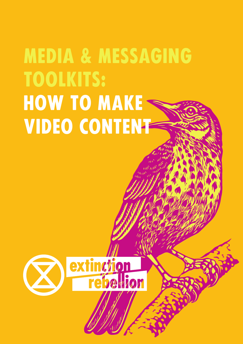# MEDIA & MESSAGING TOOLKITS: HOW TO MAKE < VIDEO CONTENT

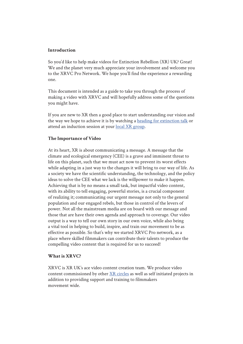#### **Introduction**

So you'd like to help make videos for Extinction Rebellion (XR) UK? Great! We and the planet very much appreciate your involvement and welcome you to the XRVC Pro Network. We hope you'll find the experience a rewarding one.

This document is intended as a guide to take you through the process of making a video with XRVC and will hopefully address some of the questions you might have.

If you are new to XR then a good place to start understanding our vision and the way we hope to achieve it is by watching a heading for extinction talk or attend an induction session at your local XR group.

#### **The Importance of Video**

At its heart, XR is about communicating a message. A message that the climate and ecological emergency (CEE) is a grave and imminent threat to life on this planet, such that we must act now to prevent its worst effects while adapting in a just way to the changes it will bring to our way of life. As a society we have the scientific understanding, the technology, and the policy ideas to solve the CEE what we lack is the willpower to make it happen. Achieving that is by no means a small task, but impactful video content, with its ability to tell engaging, powerful stories, is a crucial component of realizing it; communicating our urgent message not only to the general population and our engaged rebels, but those in control of the levers of power. Not all the mainstream media are on board with our message and those that are have their own agenda and approach to coverage. Our video output is a way to tell our own story in our own voice, while also being a vital tool in helping to build, inspire, and train our movement to be as effective as possible. So that's why we started XRVC Pro network, as a place where skilled filmmakers can contribute their talents to produce the compelling video content that is required for us to succeed!

#### **What is XRVC?**

XRVC is XR UK's ace video content creation team. We produce video content commissioned by other XR circles as well as self initiated projects in addition to providing support and training to filmmakers movement wide.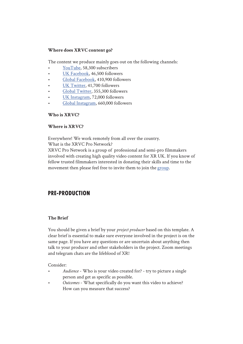## **Where does XRVC content go?**

The content we produce mainly goes out on the following channels:

- YouTube, 58,300 subscribers
- UK Facebook, 46,500 followers
- Global Facebook, 410,900 followers
- UK Twitter, 41,700 followers
- Global Twitter, 355,300 followers
- UK Instagram, 72,000 followers
- Global Instagram, 660,000 followers

## **Who is XRVC?**

## **Where is XRVC?**

Everywhere! We work remotely from all over the country.

What is the XRVC Pro Network?

XRVC Pro Network is a group of professional and semi-pro filmmakers involved with creating high quality video content for XR UK. If you know of fellow trusted filmmakers interested in donating their skills and time to the movement then please feel free to invite them to join the group.

## PRE-PRODUCTION

## **The Brief**

You should be given a brief by your *project producer* based on this template. A clear brief is essential to make sure everyone involved in the project is on the same page. If you have any questions or are uncertain about anything then talk to your producer and other stakeholders in the project. Zoom meetings and telegram chats are the lifeblood of XR!

Consider:

- *Audience* Who is your video created for? try to picture a single person and get as specific as possible.
- *Outcomes* What specifically do you want this video to achieve? How can you measure that success?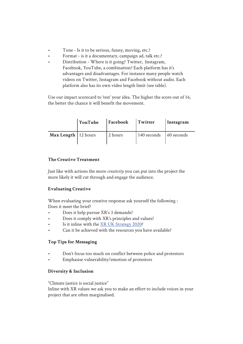- Tone Is it to be serious, funny, moving, etc.?
- Format is it a documentary, campaign ad, talk etc.?
- Distribution Where is it going? Twitter, Instagram, Facebook, YouTube, a combination? Each platform has it's advantages and disadvantages. For instance many people watch videos on Twitter, Instagram and Facebook without audio. Each platform also has its own video length limit (see table).

Use our impact scorecard to 'test' your idea. The higher the score out of 16, the better the chance it will benefit the movement.

|                              | YouTube | Facebook | Twitter                                | Instagram |
|------------------------------|---------|----------|----------------------------------------|-----------|
| <b>Max Length</b>   12 hours |         | 2 hours  | $\vert$ 140 seconds $\vert$ 60 seconds |           |

## **The Creative Treatment**

Just like with actions the more *creativity* you can put into the project the more likely it will cut through and engage the audience.

## **Evaluating Creative**

When evaluating your creative response ask yourself the following : Does it meet the brief?

- Does it help pursue XR's 3 demands?
- Does it comply with XR's principles and values?
- Is it inline with the XR UK Strategy 2020?
- Can it be achieved with the resources you have available?

## **Top Tips for Messaging**

- Don't focus too much on conflict between police and protestors
- Emphasise vulnerability/emotion of protestors

## **Diversity & Inclusion**

"Climate justice is social justice"

Inline with XR values we ask you to make an effort to include voices in your project that are often marginalised.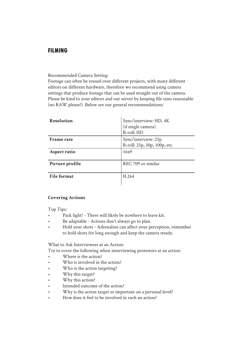## FILMInG

#### Recommended Camera Setting:

Footage can often be reused over different projects, with many different editors on different hardware, therefore we recommend using camera settings that produce footage that can be used straight out of the camera. Please be kind to your editors and our server by keeping file sizes reasonable (no RAW please!). Below are our general recommendations:

| <b>Resolution</b>  | Sync/interview: HD, 4K<br>(if single camera)<br><b>B-roll: HD</b> |
|--------------------|-------------------------------------------------------------------|
| <b>Frame rate</b>  | Sync/interview: 25p                                               |
|                    | B-roll: 25p, 50p, 100p, etc.                                      |
| Aspect ratio       | 16x9                                                              |
| Picture profile    | REC 709 or similar                                                |
| <b>File format</b> | H.264                                                             |

## **Covering Actions**

Top Tips:

- Pack light! There will likely be nowhere to leave kit.
- Be adaptable Actions don't always go to plan.
- Hold your shots Adrenaline can affect your perception, remember to hold shots for long enough and keep the camera steady.

What to Ask Interviewees at an Action:

Try to cover the following when interviewing protestors at an action:

- Where is the action?
- Who is involved in the action?
- Who is the action targeting?
- Why this target?
- Why this action?
- Intended outcome of the action?
- Why is the action target so important on a personal level?
- How does it feel to be involved in such an action?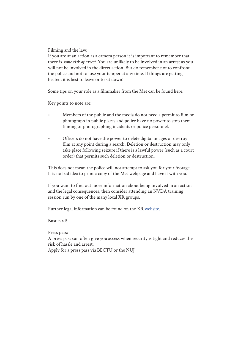Filming and the law:

If you are at an action as a camera person it is important to remember that there is *some risk of arrest*. You are unlikely to be involved in an arrest as you will not be involved in the direct action. But do remember not to confront the police and not to lose your temper at any time. If things are getting heated, it is best to leave or to sit down!

Some tips on your role as a filmmaker from the Met can be found here.

Key points to note are:

- Members of the public and the media do not need a permit to film or photograph in public places and police have no power to stop them filming or photographing incidents or police personnel.
- Officers do not have the power to delete digital images or destroy film at any point during a search. Deletion or destruction may only take place following seizure if there is a lawful power (such as a court order) that permits such deletion or destruction.

This does not mean the police will not attempt to ask you for your footage. It is no bad idea to print a copy of the Met webpage and have it with you.

If you want to find out more information about being involved in an action and the legal consequences, then consider attending an NVDA training session run by one of the many local XR groups.

Further legal information can be found on the XR website.

Bust card?

Press pass:

A press pass can often give you access when security is tight and reduces the risk of hassle and arrest.

Apply for a press pass via BECTU or the NUJ.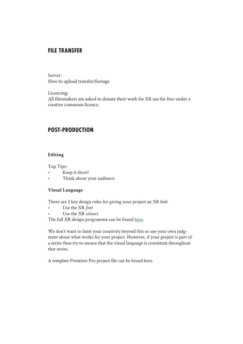## FILE TRANSFER

Server: How to upload transfer/footage

Licencing:

All filmmakers are asked to donate their work for XR use for free under a creative commons licence.

## POST-PRODUCTION

## **Editing**

Top Tips:

- Keep it short!
- Think about your audience

## **Visual Language**

There are 2 key design rules for giving your project an XR feel:

- Use the XR *font*
- Use the XR *colours*

The full XR design programme can be found here.

We don't want to limit your creativity beyond this so use your own judgment about what works for your project. However, if your project is part of a series then try to ensure that the visual language is consistent throughout that series.

A template Premiere Pro project file can be found here.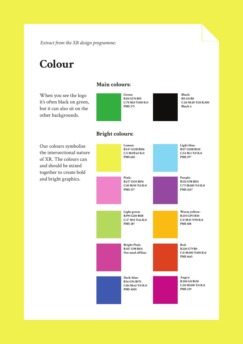*Extract from the XR design programme:*

## **Colour**

it's often black on green, but it can also sit on the other backgrounds.

## **Main colours:**

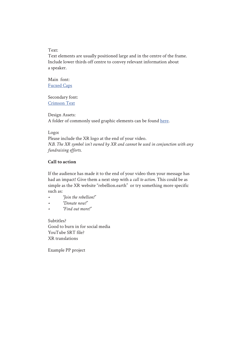Text:

Text elements are usually positioned large and in the centre of the frame. Include lower thirds off centre to convey relevant information about a speaker.

Main font: Fucxed Caps

Secondary font: Crimson Text

Design Assets: A folder of commonly used graphic elements can be found here.

#### Logo**:**

Please include the XR logo at the end of your video. *N.B. The XR symbol isn't owned by XR and cannot be used in conjunction with any fundraising efforts.*

## **Call to action**

If the audience has made it to the end of your video then your message has had an impact! Give them a next step with a *call to action*. This could be as simple as the XR website "rebellion.earth" or try something more specific such as:

- *• "Join the rebellion!"*
- *• "Donate now!"*
- *• "Find out more!"*

Subtitles? Good to burn in for social media YouTube SRT file? XR translations

Example PP project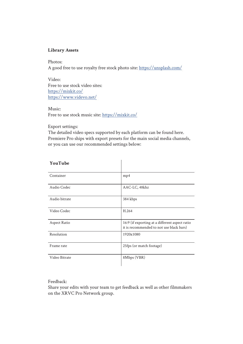#### **Library Assets**

Photos: A good free to use royalty free stock photo site: https://unsplash.com/

Video: Free to use stock video sites: https://mixkit.co/ https://www.videvo.net/

Music: Free to use stock music site: https://mixkit.co/

Export settings:

The detailed video specs supported by each platform can be found here. Premiere Pro ships with export presets for the main social media channels, or you can use our recommended settings below:

 $\overline{1}$ 

| YouTube       |                                                                                            |
|---------------|--------------------------------------------------------------------------------------------|
| Container     | mp4                                                                                        |
| Audio Codec   | AAC-LC, 48khz                                                                              |
| Audio bitrate | 384 kbps                                                                                   |
| Video Codec   | H.264                                                                                      |
| Aspect Ratio  | 16:9 (if exporting at a different aspect ratio<br>it is recommended to not use black bars) |
| Resolution    | 1920x1080                                                                                  |
| Frame rate    | 25fps (or match footage)                                                                   |
| Video Bitrate | 8Mbps (VBR)                                                                                |

Feedback:

Share your edits with your team to get feedback as well as other filmmakers on the XRVC Pro Network group.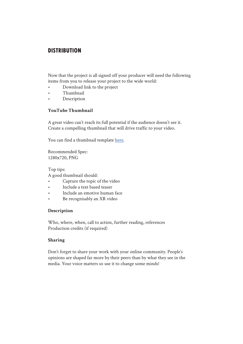## **DISTRIBUTION**

Now that the project is all signed off your producer will need the following items from you to release your project to the wide world:

- Download link to the project
- Thumbnail
- Description

## **YouTube Thumbnail**

A great video can't reach its full potential if the audience doesn't see it. Create a compelling thumbnail that will drive traffic to your video.

You can find a thumbnail template here.

Recommended Spec: 1280x720, PNG

Top tips: A good thumbnail should:

- Capture the topic of the video
- Include a text based teaser
- Include an emotive human face
- Be recognisably an XR video

## **Description**

Who, where, when, call to action, further reading, references Production credits (if required)

## **Sharing**

Don't forget to share your work with your online community. People's opinions are shaped far more by their peers than by what they see in the media. Your voice matters so use it to change some minds!